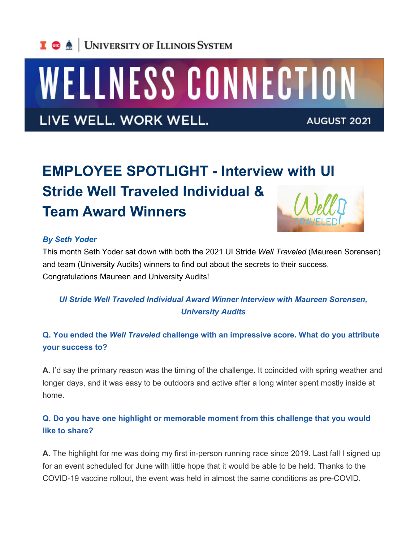

# WELLNESS CONNECTION

LIVE WELL. WORK WELL.

**AUGUST 2021** 

# **EMPLOYEE SPOTLIGHT - Interview with UI Stride Well Traveled Individual & Team Award Winners**

#### *By Seth Yoder*

This month Seth Yoder sat down with both the 2021 UI Stride *Well Traveled* (Maureen Sorensen) and team (University Audits) winners to find out about the secrets to their success. Congratulations Maureen and University Audits!

## *UI Stride Well Traveled Individual Award Winner Interview with Maureen Sorensen, University Audits*

#### **Q. You ended the** *Well Traveled* **challenge with an impressive score. What do you attribute your success to?**

**A.** I'd say the primary reason was the timing of the challenge. It coincided with spring weather and longer days, and it was easy to be outdoors and active after a long winter spent mostly inside at home.

#### **Q. Do you have one highlight or memorable moment from this challenge that you would like to share?**

**A.** The highlight for me was doing my first in-person running race since 2019. Last fall I signed up for an event scheduled for June with little hope that it would be able to be held. Thanks to the COVID-19 vaccine rollout, the event was held in almost the same conditions as pre-COVID.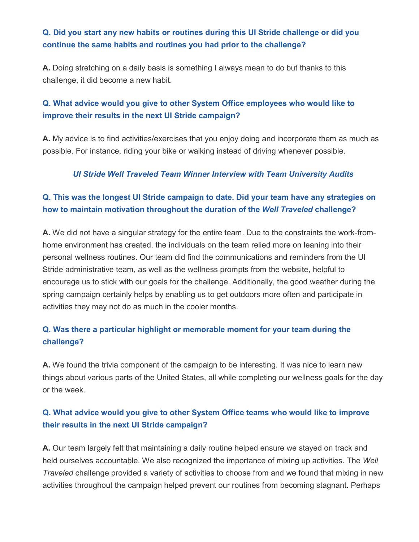#### **Q. Did you start any new habits or routines during this UI Stride challenge or did you continue the same habits and routines you had prior to the challenge?**

**A.** Doing stretching on a daily basis is something I always mean to do but thanks to this challenge, it did become a new habit.

#### **Q. What advice would you give to other System Office employees who would like to improve their results in the next UI Stride campaign?**

**A.** My advice is to find activities/exercises that you enjoy doing and incorporate them as much as possible. For instance, riding your bike or walking instead of driving whenever possible.

#### *UI Stride Well Traveled Team Winner Interview with Team University Audits*

### **Q. This was the longest UI Stride campaign to date. Did your team have any strategies on how to maintain motivation throughout the duration of the** *Well Traveled* **challenge?**

**A.** We did not have a singular strategy for the entire team. Due to the constraints the work-fromhome environment has created, the individuals on the team relied more on leaning into their personal wellness routines. Our team did find the communications and reminders from the UI Stride administrative team, as well as the wellness prompts from the website, helpful to encourage us to stick with our goals for the challenge. Additionally, the good weather during the spring campaign certainly helps by enabling us to get outdoors more often and participate in activities they may not do as much in the cooler months.

### **Q. Was there a particular highlight or memorable moment for your team during the challenge?**

**A.** We found the trivia component of the campaign to be interesting. It was nice to learn new things about various parts of the United States, all while completing our wellness goals for the day or the week.

#### **Q. What advice would you give to other System Office teams who would like to improve their results in the next UI Stride campaign?**

**A.** Our team largely felt that maintaining a daily routine helped ensure we stayed on track and held ourselves accountable. We also recognized the importance of mixing up activities. The *Well Traveled* challenge provided a variety of activities to choose from and we found that mixing in new activities throughout the campaign helped prevent our routines from becoming stagnant. Perhaps